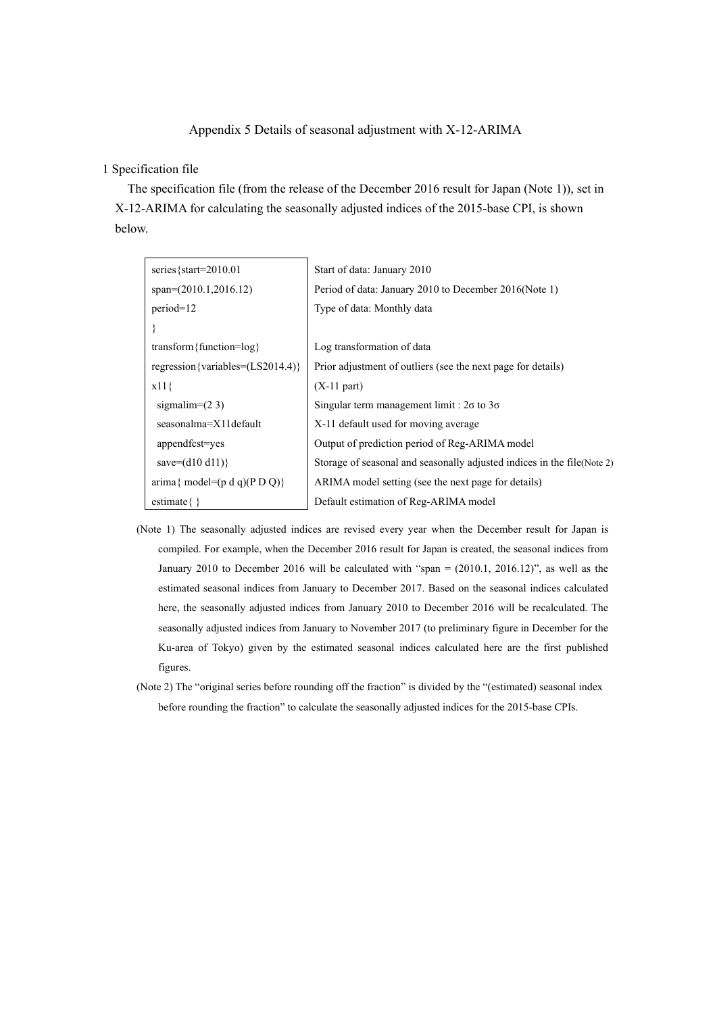### Appendix 5 Details of seasonal adjustment with X-12-ARIMA

#### 1 Specification file

The specification file (from the release of the December 2016 result for Japan (Note 1)), set in X-12-ARIMA for calculating the seasonally adjusted indices of the 2015-base CPI, is shown below.

| series $\{ \text{start} = 2010.01$                                | Start of data: January 2010                                              |
|-------------------------------------------------------------------|--------------------------------------------------------------------------|
| $span=(2010.1,2016.12)$                                           | Period of data: January 2010 to December 2016 (Note 1)                   |
| $period=12$                                                       | Type of data: Monthly data                                               |
|                                                                   |                                                                          |
| transform { function= $log$ }                                     | Log transformation of data                                               |
| regression {variables= $(LS2014.4)$ }                             | Prior adjustment of outliers (see the next page for details)             |
| $x11\}$                                                           | $(X-11$ part)                                                            |
| sigmalim= $(2 3)$                                                 | Singular term management limit : $2\sigma$ to $3\sigma$                  |
| seasonalma=X11default                                             | X-11 default used for moving average                                     |
| appendfcst=yes                                                    | Output of prediction period of Reg-ARIMA model                           |
| save= $(d10 d11)$ }                                               | Storage of seasonal and seasonally adjusted indices in the file (Note 2) |
| $\text{arima} \{ \text{ model} = (\text{p d q})(\text{p D Q}) \}$ | ARIMA model setting (see the next page for details)                      |
| estimate $\{\}$                                                   | Default estimation of Reg-ARIMA model                                    |

- (Note 1) The seasonally adjusted indices are revised every year when the December result for Japan is compiled. For example, when the December 2016 result for Japan is created, the seasonal indices from January 2010 to December 2016 will be calculated with "span = (2010.1, 2016.12)", as well as the estimated seasonal indices from January to December 2017. Based on the seasonal indices calculated here, the seasonally adjusted indices from January 2010 to December 2016 will be recalculated. The seasonally adjusted indices from January to November 2017 (to preliminary figure in December for the Ku-area of Tokyo) given by the estimated seasonal indices calculated here are the first published figures.
- (Note 2) The "original series before rounding off the fraction" is divided by the "(estimated) seasonal index before rounding the fraction" to calculate the seasonally adjusted indices for the 2015-base CPIs.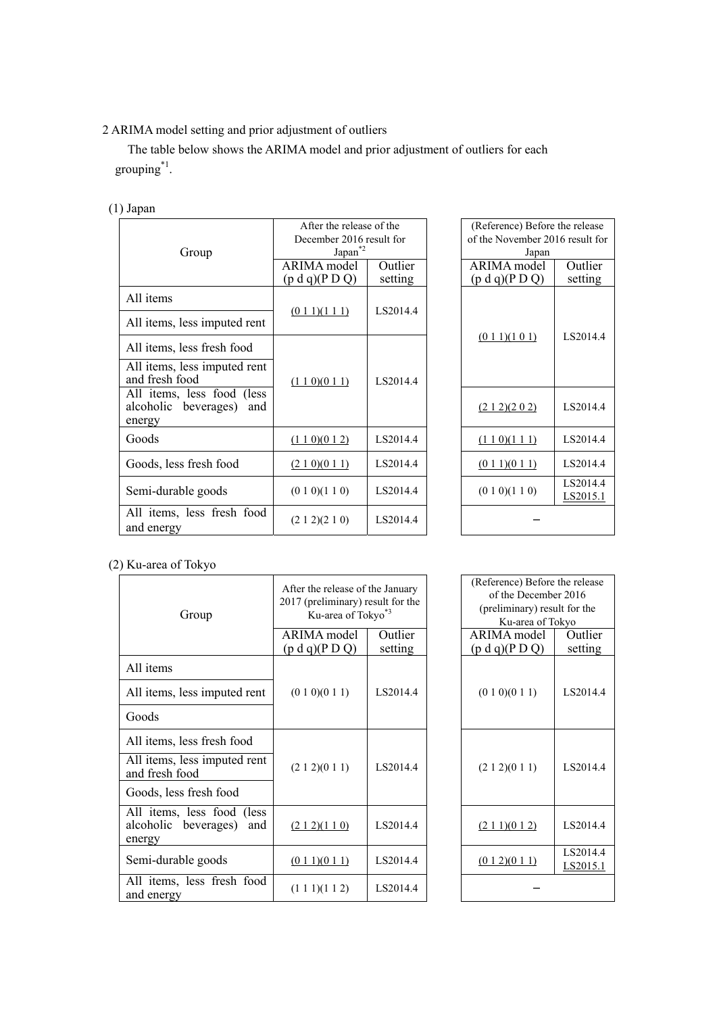# 2 ARIMA model setting and prior adjustment of outliers

The table below shows the ARIMA model and prior adjustment of outliers for each grouping\*1.

## (1) Japan

|                                                                     | After the release of the |          |  | (Reference) Before the release<br>of the November 2016 result for |                      |
|---------------------------------------------------------------------|--------------------------|----------|--|-------------------------------------------------------------------|----------------------|
|                                                                     | December 2016 result for |          |  |                                                                   |                      |
| Group                                                               | $Japan^*{}^2$            |          |  | Japan                                                             |                      |
|                                                                     | ARIMA model              | Outlier  |  | ARIMA model                                                       | Outlier              |
|                                                                     | (p d q)(P D Q)           | setting  |  | (p d q)(P D Q)                                                    | setting              |
| All items                                                           |                          |          |  |                                                                   |                      |
| All items, less imputed rent                                        | $(0\ 1\ 1)(1\ 1\ 1)$     | LS2014.4 |  |                                                                   |                      |
| All items, less fresh food                                          |                          |          |  | $(0\ 1\ 1)(1\ 0\ 1)$                                              | LS2014.4             |
| All items, less imputed rent<br>and fresh food                      | (110)(011)               | LS2014.4 |  |                                                                   |                      |
| All items, less food (less<br>alcoholic beverages)<br>and<br>energy |                          |          |  | (212)(202)                                                        | LS2014.4             |
| Goods                                                               | (110)(012)               | LS2014.4 |  | (1 1 0)(1 1 1)                                                    | LS2014.4             |
| Goods, less fresh food                                              | (210)(011)               | LS2014.4 |  | (0 1 1)(0 1 1)                                                    | LS2014.4             |
| Semi-durable goods                                                  | (0 1 0)(1 1 0)           | LS2014.4 |  | (0 1 0)(1 1 0)                                                    | LS2014.4<br>LS2015.1 |
| All items, less fresh food<br>and energy                            | (212)(210)               | LS2014.4 |  |                                                                   |                      |

| (Reference) Before the release  |                      |  |  |
|---------------------------------|----------------------|--|--|
| of the November 2016 result for |                      |  |  |
| Japan                           |                      |  |  |
| ARIMA model                     | Outlier              |  |  |
| (p d q)(P D Q)                  | setting              |  |  |
| $(0\ 1\ 1)(1\ 0\ 1)$            | LS2014.4             |  |  |
| (212)(202)                      | LS2014.4             |  |  |
| (1 1 0)(1 1 1)                  | LS2014.4             |  |  |
| $(0\ 1\ 1)(0\ 1\ 1)$            | LS2014.4             |  |  |
| (0 1 0)(1 1 0)                  | LS2014.4<br>LS2015.1 |  |  |

## (2) Ku-area of Tokyo

| Group                                                               | After the release of the January<br>2017 (preliminary) result for the<br>Ku-area of Tokyo*3 |                    | (Reference) Before the release<br>of the December 2016<br>(preliminary) result for the<br>Ku-area of Tokyo |                      |
|---------------------------------------------------------------------|---------------------------------------------------------------------------------------------|--------------------|------------------------------------------------------------------------------------------------------------|----------------------|
|                                                                     | ARIMA model<br>(p d q)(P D Q)                                                               | Outlier<br>setting | ARIMA model<br>(p d q)(P D Q)                                                                              | Outlier<br>setting   |
| All items                                                           |                                                                                             |                    |                                                                                                            |                      |
| All items, less imputed rent                                        | (0 1 0)(0 1 1)                                                                              | LS2014.4           | (0 1 0)(0 1 1)                                                                                             | LS2014.4             |
| Goods                                                               |                                                                                             |                    |                                                                                                            |                      |
| All items, less fresh food                                          |                                                                                             |                    |                                                                                                            |                      |
| All items, less imputed rent<br>and fresh food                      | (2 1 2)(0 1 1)                                                                              | LS2014.4           | (2 1 2)(0 1 1)                                                                                             | LS2014.4             |
| Goods, less fresh food                                              |                                                                                             |                    |                                                                                                            |                      |
| All items, less food (less<br>alcoholic beverages)<br>and<br>energy | (212)(110)                                                                                  | LS2014.4           | (211)(012)                                                                                                 | LS2014.4             |
| Semi-durable goods                                                  | $(0\ 1\ 1)(0\ 1\ 1)$                                                                        | LS2014.4           | (012)(011)                                                                                                 | LS2014.4<br>LS2015.1 |
| All items, less fresh food<br>and energy                            | (1 1 1)(1 1 2)                                                                              | LS2014.4           |                                                                                                            |                      |

| fter the release of the January<br>17 (preliminary) result for the<br>Ku-area of Tokyo*3 |          | (Reference) Before the release<br>of the December 2016<br>(preliminary) result for the<br>Ku-area of Tokyo |                      |
|------------------------------------------------------------------------------------------|----------|------------------------------------------------------------------------------------------------------------|----------------------|
| RIMA model                                                                               | Outlier  | ARIMA model                                                                                                | Outlier              |
| o d q)(P D Q)                                                                            | setting  | (p d q)(P D Q)                                                                                             | setting              |
| (0 1 0)(0 1 1)                                                                           | LS2014.4 | (0 1 0)(0 1 1)                                                                                             | LS2014.4             |
| (2 1 2)(0 1 1)                                                                           | LS2014.4 | (2 1 2)(0 1 1)                                                                                             | LS2014.4             |
| (212)(110)                                                                               | LS2014.4 | (211)(012)                                                                                                 | LS2014.4             |
| (011)(011)                                                                               | LS2014.4 | (012)(011)                                                                                                 | LS2014.4<br>LS2015.1 |
| (1 1 1)(1 1 2)                                                                           | LS2014.4 |                                                                                                            |                      |